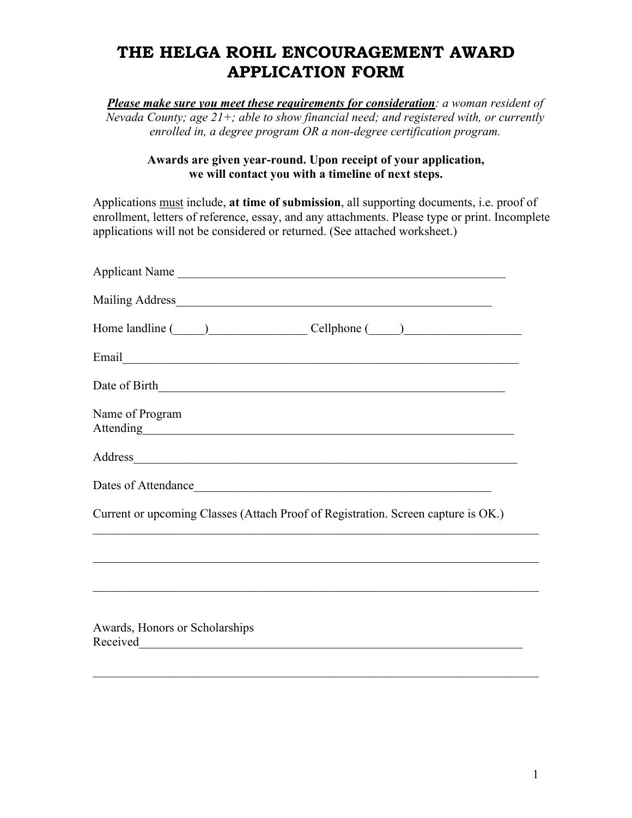# **THE HELGA ROHL ENCOURAGEMENT AWARD APPLICATION FORM**

*Please make sure you meet these requirements for consideration: a woman resident of Nevada County; age 21+; able to show financial need; and registered with, or currently enrolled in, a degree program OR a non-degree certification program.* 

### **Awards are given year-round. Upon receipt of your application, we will contact you with a timeline of next steps.**

Applications must include, **at time of submission**, all supporting documents, i.e. proof of enrollment, letters of reference, essay, and any attachments. Please type or print. Incomplete applications will not be considered or returned. (See attached worksheet.)

| Applicant Name                                                                                                                                                                                                                 |
|--------------------------------------------------------------------------------------------------------------------------------------------------------------------------------------------------------------------------------|
|                                                                                                                                                                                                                                |
|                                                                                                                                                                                                                                |
|                                                                                                                                                                                                                                |
|                                                                                                                                                                                                                                |
| Name of Program<br>Attending<br><u>Attending</u>                                                                                                                                                                               |
| Address and the contract of the contract of the contract of the contract of the contract of the contract of the contract of the contract of the contract of the contract of the contract of the contract of the contract of th |
| Dates of Attendance                                                                                                                                                                                                            |
| Current or upcoming Classes (Attach Proof of Registration. Screen capture is OK.)                                                                                                                                              |
|                                                                                                                                                                                                                                |
|                                                                                                                                                                                                                                |
|                                                                                                                                                                                                                                |
| Awards, Honors or Scholarships                                                                                                                                                                                                 |
|                                                                                                                                                                                                                                |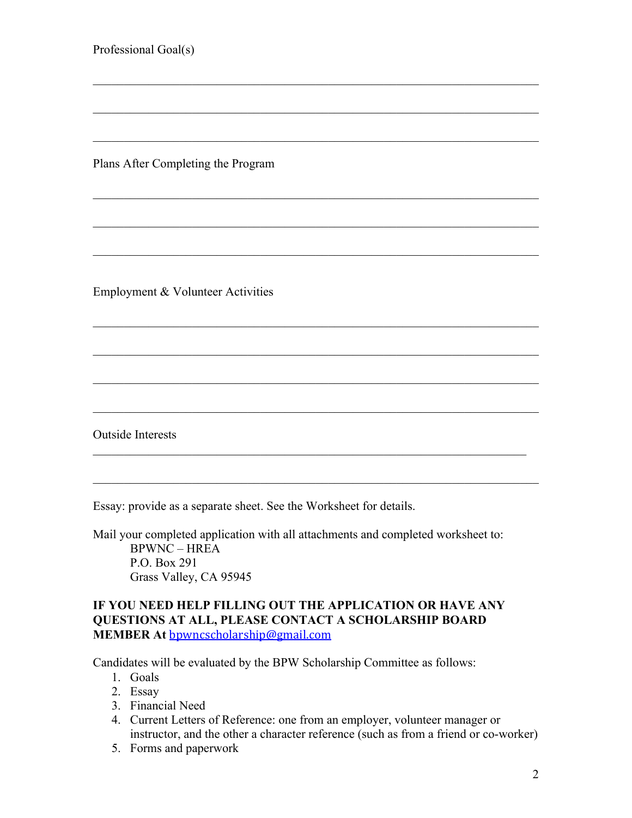Professional Goal(s) Plans After Completing the Program Employment & Volunteer Activities  $\mathcal{L}_\mathcal{L} = \mathcal{L}_\mathcal{L} = \mathcal{L}_\mathcal{L} = \mathcal{L}_\mathcal{L} = \mathcal{L}_\mathcal{L} = \mathcal{L}_\mathcal{L} = \mathcal{L}_\mathcal{L} = \mathcal{L}_\mathcal{L} = \mathcal{L}_\mathcal{L} = \mathcal{L}_\mathcal{L} = \mathcal{L}_\mathcal{L} = \mathcal{L}_\mathcal{L} = \mathcal{L}_\mathcal{L} = \mathcal{L}_\mathcal{L} = \mathcal{L}_\mathcal{L} = \mathcal{L}_\mathcal{L} = \mathcal{L}_\mathcal{L}$ Outside Interests Essay: provide as a separate sheet. See the Worksheet for details.

Mail your completed application with all attachments and completed worksheet to: BPWNC – HREA P.O. Box 291 Grass Valley, CA 95945

## **IF YOU NEED HELP FILLING OUT THE APPLICATION OR HAVE ANY QUESTIONS AT ALL, PLEASE CONTACT A SCHOLARSHIP BOARD MEMBER At** bpwncscholarship@gmail.com

Candidates will be evaluated by the BPW Scholarship Committee as follows:

- 1. Goals
- 2. Essay
- 3. Financial Need
- 4. Current Letters of Reference: one from an employer, volunteer manager or instructor, and the other a character reference (such as from a friend or co-worker)
- 5. Forms and paperwork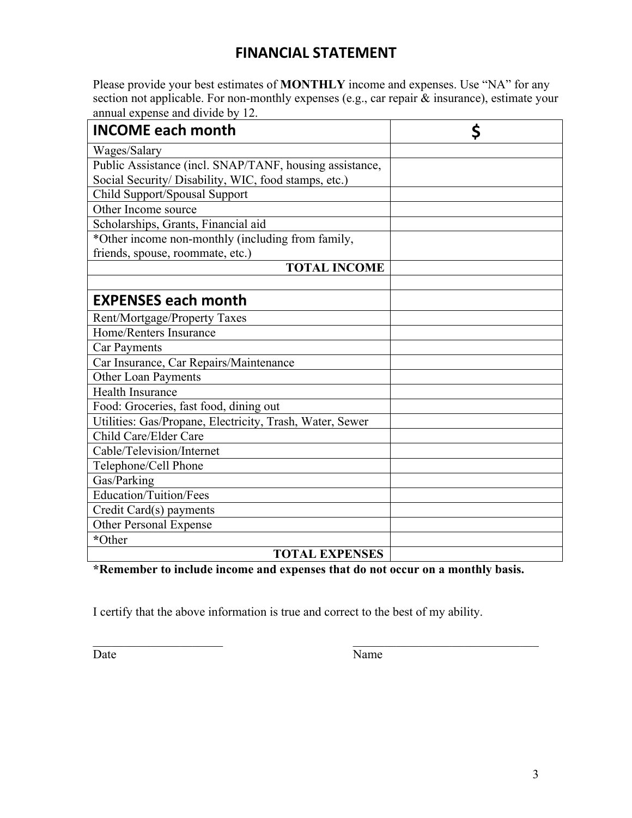# **FINANCIAL STATEMENT**

Please provide your best estimates of **MONTHLY** income and expenses. Use "NA" for any section not applicable. For non-monthly expenses (e.g., car repair & insurance), estimate your annual expense and divide by 12.

| <b>INCOME each month</b>                                 | Ś |
|----------------------------------------------------------|---|
| Wages/Salary                                             |   |
| Public Assistance (incl. SNAP/TANF, housing assistance,  |   |
| Social Security/ Disability, WIC, food stamps, etc.)     |   |
| Child Support/Spousal Support                            |   |
| Other Income source                                      |   |
| Scholarships, Grants, Financial aid                      |   |
| *Other income non-monthly (including from family,        |   |
| friends, spouse, roommate, etc.)                         |   |
| <b>TOTAL INCOME</b>                                      |   |
|                                                          |   |
| <b>EXPENSES each month</b>                               |   |
| Rent/Mortgage/Property Taxes                             |   |
| Home/Renters Insurance                                   |   |
| <b>Car Payments</b>                                      |   |
| Car Insurance, Car Repairs/Maintenance                   |   |
| Other Loan Payments                                      |   |
| <b>Health Insurance</b>                                  |   |
| Food: Groceries, fast food, dining out                   |   |
| Utilities: Gas/Propane, Electricity, Trash, Water, Sewer |   |
| Child Care/Elder Care                                    |   |
| Cable/Television/Internet                                |   |
| Telephone/Cell Phone                                     |   |
| Gas/Parking                                              |   |
| Education/Tuition/Fees                                   |   |
| Credit Card(s) payments                                  |   |
| <b>Other Personal Expense</b>                            |   |
| *Other                                                   |   |
| <b>TOTAL EXPENSES</b>                                    |   |

**\*Remember to include income and expenses that do not occur on a monthly basis.** 

I certify that the above information is true and correct to the best of my ability.

Date Name